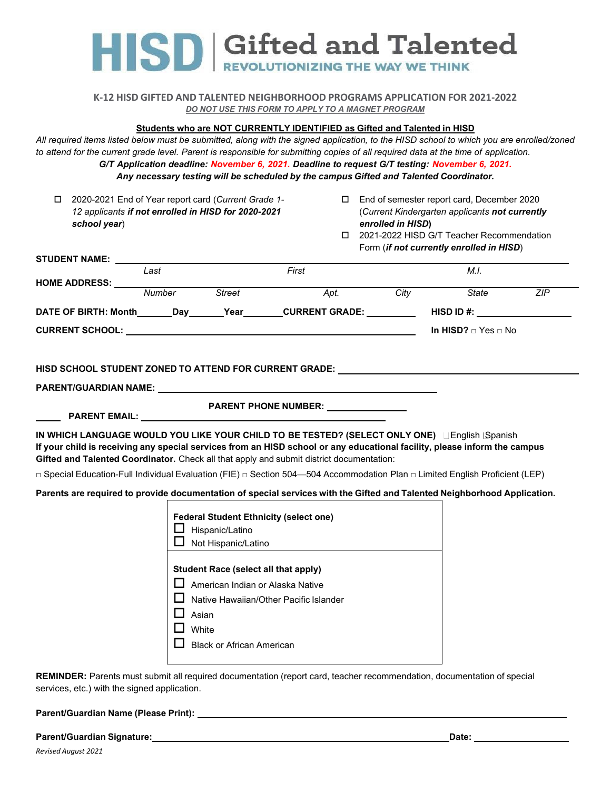HISD Gifted and Talented

## **K-12 HISD GIFTED AND TALENTED NEIGHBORHOOD PROGRAMS APPLICATION FOR 2021-2022** *DO NOT USE THIS FORM TO APPLY TO A MAGNET PROGRAM*

# **Students who are NOT CURRENTLY IDENTIFIED as Gifted and Talented in HISD**

*All required items listed below must be submitted, along with the signed application, to the HISD school to which you are enrolled/zoned to attend for the current grade level. Parent is responsible for submitting copies of all required data at the time of application. G/T Application deadline: November 6, 2021. Deadline to request G/T testing: November 6, 2021.*

*Any necessary testing will be scheduled by the campus Gifted and Talented Coordinator.*

| 2020-2021 End of Year report card (Current Grade 1-<br>□<br>12 applicants if not enrolled in HISD for 2020-2021<br>school year)                                                                                                                                                                                                                                                                                                                        |            |                                                                                                                                             | □ End of semester report card, December 2020<br>(Current Kindergarten applicants not currently<br>enrolled in HISD)<br>□ 2021-2022 HISD G/T Teacher Recommendation<br>Form (if not currently enrolled in HISD) |      |                     |     |  |
|--------------------------------------------------------------------------------------------------------------------------------------------------------------------------------------------------------------------------------------------------------------------------------------------------------------------------------------------------------------------------------------------------------------------------------------------------------|------------|---------------------------------------------------------------------------------------------------------------------------------------------|----------------------------------------------------------------------------------------------------------------------------------------------------------------------------------------------------------------|------|---------------------|-----|--|
|                                                                                                                                                                                                                                                                                                                                                                                                                                                        |            |                                                                                                                                             |                                                                                                                                                                                                                |      |                     |     |  |
|                                                                                                                                                                                                                                                                                                                                                                                                                                                        | Last       |                                                                                                                                             | First                                                                                                                                                                                                          |      | M.I.                |     |  |
| <b>HOME ADDRESS: _____</b>                                                                                                                                                                                                                                                                                                                                                                                                                             | Number     | Street                                                                                                                                      | Apt.                                                                                                                                                                                                           | City | <b>State</b>        | ZIP |  |
| DATE OF BIRTH: Month_______Day_______Year_______CURRENT GRADE:_____________HISD ID #: ______________                                                                                                                                                                                                                                                                                                                                                   |            |                                                                                                                                             |                                                                                                                                                                                                                |      |                     |     |  |
| CURRENT SCHOOL: University of the contract of the contract of the contract of the contract of the contract of the contract of the contract of the contract of the contract of the contract of the contract of the contract of                                                                                                                                                                                                                          |            |                                                                                                                                             |                                                                                                                                                                                                                |      | In HISD? □ Yes □ No |     |  |
| HISD SCHOOL STUDENT ZONED TO ATTEND FOR CURRENT GRADE: _________________________<br>PARENT/GUARDIAN NAME: University of the contract of the contract of the contract of the contract of the contract of the contract of the contract of the contract of the contract of the contract of the contract of the contra                                                                                                                                     |            |                                                                                                                                             |                                                                                                                                                                                                                |      |                     |     |  |
|                                                                                                                                                                                                                                                                                                                                                                                                                                                        |            |                                                                                                                                             | PARENT PHONE NUMBER: _______________                                                                                                                                                                           |      |                     |     |  |
| IN WHICH LANGUAGE WOULD YOU LIKE YOUR CHILD TO BE TESTED? (SELECT ONLY ONE) Linglish iSpanish<br>If your child is receiving any special services from an HISD school or any educational facility, please inform the campus<br>Gifted and Talented Coordinator. Check all that apply and submit district documentation:<br>□ Special Education-Full Individual Evaluation (FIE) □ Section 504—504 Accommodation Plan □ Limited English Proficient (LEP) |            |                                                                                                                                             |                                                                                                                                                                                                                |      |                     |     |  |
| Parents are required to provide documentation of special services with the Gifted and Talented Neighborhood Application.                                                                                                                                                                                                                                                                                                                               |            |                                                                                                                                             |                                                                                                                                                                                                                |      |                     |     |  |
|                                                                                                                                                                                                                                                                                                                                                                                                                                                        | l I<br>l 1 | Hispanic/Latino<br>Not Hispanic/Latino<br><b>Student Race (select all that apply)</b><br>Asian<br>White<br><b>Black or African American</b> | <b>Federal Student Ethnicity (select one)</b><br>$\Box$ American Indian or Alaska Native<br>Native Hawaiian/Other Pacific Islander                                                                             |      |                     |     |  |
|                                                                                                                                                                                                                                                                                                                                                                                                                                                        |            |                                                                                                                                             |                                                                                                                                                                                                                |      |                     |     |  |

**REMINDER:** Parents must submit all required documentation (report card, teacher recommendation, documentation of special services, etc.) with the signed application.

**Parent/Guardian Name (Please Print):** 

**Parent/Guardian Signature: Date:**